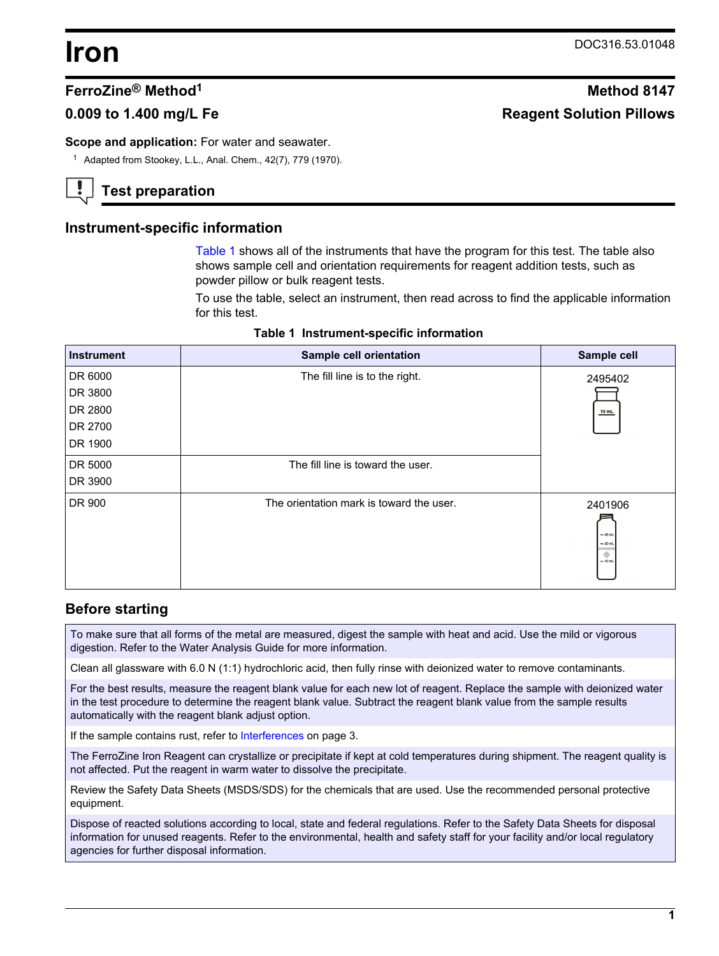# **Iron** DOC316.53.01048

# **FerroZine® Method<sup>1</sup> Method 8147**

# **0.009 to 1.400 mg/L Fe Reagent Solution Pillows**

**Scope and application:** For water and seawater.

<sup>1</sup> Adapted from Stookey, L.L., Anal. Chem., 42(7), 779 (1970).

# **Test preparation**

## **Instrument-specific information**

[Table 1](#page-0-0) shows all of the instruments that have the program for this test. The table also shows sample cell and orientation requirements for reagent addition tests, such as powder pillow or bulk reagent tests.

To use the table, select an instrument, then read across to find the applicable information for this test.

<span id="page-0-1"></span><span id="page-0-0"></span>

| <b>Instrument</b> | Sample cell orientation                  | Sample cell                                  |
|-------------------|------------------------------------------|----------------------------------------------|
| DR 6000           | The fill line is to the right.           | 2495402                                      |
| DR 3800           |                                          |                                              |
| DR 2800           |                                          | $10$ mL                                      |
| DR 2700           |                                          |                                              |
| DR 1900           |                                          |                                              |
| DR 5000           | The fill line is toward the user.        |                                              |
| DR 3900           |                                          |                                              |
| DR 900            | The orientation mark is toward the user. | 2401906<br>$-25$ mL<br>$= 20$ mL<br>$-10$ mL |

#### **Table 1 Instrument-specific information**

## **Before starting**

To make sure that all forms of the metal are measured, digest the sample with heat and acid. Use the mild or vigorous digestion. Refer to the Water Analysis Guide for more information.

Clean all glassware with 6.0 N (1:1) hydrochloric acid, then fully rinse with deionized water to remove contaminants.

For the best results, measure the reagent blank value for each new lot of reagent. Replace the sample with deionized water in the test procedure to determine the reagent blank value. Subtract the reagent blank value from the sample results automatically with the reagent blank adjust option.

If the sample contains rust, refer to [Interferences](#page-2-0) on page 3.

The FerroZine Iron Reagent can crystallize or precipitate if kept at cold temperatures during shipment. The reagent quality is not affected. Put the reagent in warm water to dissolve the precipitate.

Review the Safety Data Sheets (MSDS/SDS) for the chemicals that are used. Use the recommended personal protective equipment.

Dispose of reacted solutions according to local, state and federal regulations. Refer to the Safety Data Sheets for disposal information for unused reagents. Refer to the environmental, health and safety staff for your facility and/or local regulatory agencies for further disposal information.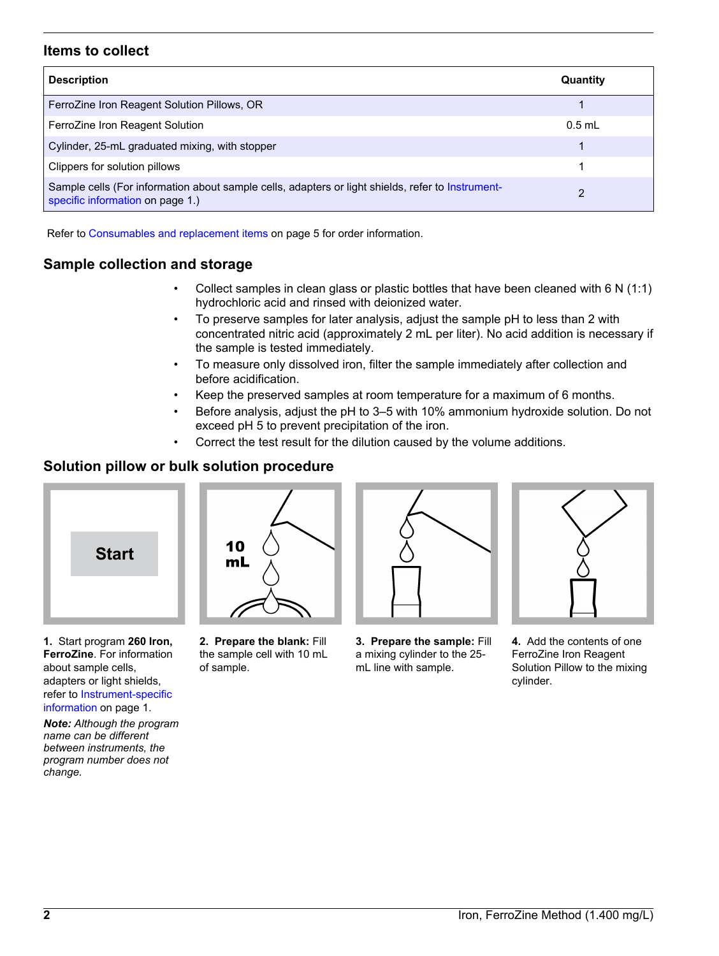# **Items to collect**

| <b>Description</b>                                                                                                                    | Quantity |
|---------------------------------------------------------------------------------------------------------------------------------------|----------|
| FerroZine Iron Reagent Solution Pillows, OR                                                                                           |          |
| FerroZine Iron Reagent Solution                                                                                                       | $0.5$ mL |
| Cylinder, 25-mL graduated mixing, with stopper                                                                                        |          |
| Clippers for solution pillows                                                                                                         |          |
| Sample cells (For information about sample cells, adapters or light shields, refer to Instrument-<br>specific information on page 1.) | າ        |

Refer to [Consumables and replacement items](#page-4-0) on page 5 for order information.

# **Sample collection and storage**

- Collect samples in clean glass or plastic bottles that have been cleaned with 6 N (1:1) hydrochloric acid and rinsed with deionized water.
- To preserve samples for later analysis, adjust the sample pH to less than 2 with concentrated nitric acid (approximately 2 mL per liter). No acid addition is necessary if the sample is tested immediately.
- To measure only dissolved iron, filter the sample immediately after collection and before acidification.
- Keep the preserved samples at room temperature for a maximum of 6 months.
- Before analysis, adjust the pH to 3–5 with 10% ammonium hydroxide solution. Do not exceed pH 5 to prevent precipitation of the iron.
- Correct the test result for the dilution caused by the volume additions.

# **Solution pillow or bulk solution procedure**



**1.** Start program **260 Iron, FerroZine**. For information about sample cells, adapters or light shields, refer to [Instrument-specific](#page-0-1) [information](#page-0-1) on page 1.

10 mL

**2. Prepare the blank:** Fill the sample cell with 10 mL of sample.



**3. Prepare the sample:** Fill a mixing cylinder to the 25 mL line with sample.



**4.** Add the contents of one FerroZine Iron Reagent Solution Pillow to the mixing cylinder.

*Note: Although the program name can be different between instruments, the program number does not change.*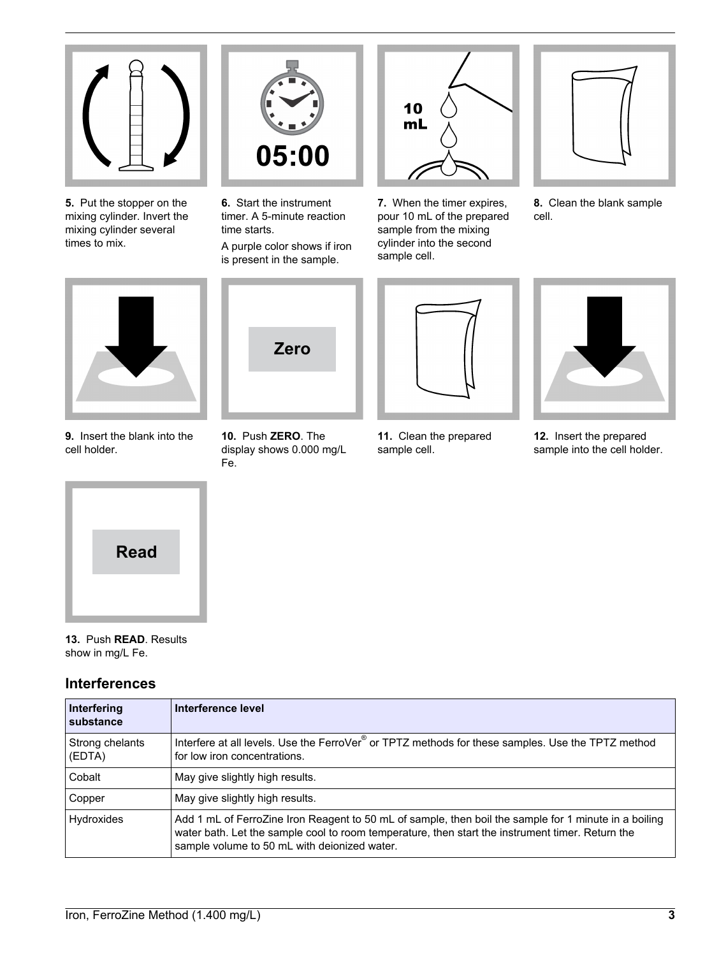

**5.** Put the stopper on the mixing cylinder. Invert the mixing cylinder several times to mix.



**6.** Start the instrument timer. A 5-minute reaction time starts.

A purple color shows if iron is present in the sample.



**7.** When the timer expires, pour 10 mL of the prepared sample from the mixing cylinder into the second sample cell.



**8.** Clean the blank sample cell.



**9.** Insert the blank into the cell holder.



**10.** Push **ZERO**. The display shows 0.000 mg/L Fe.



**11.** Clean the prepared sample cell.



**12.** Insert the prepared sample into the cell holder.

<span id="page-2-0"></span>

**13.** Push **READ**. Results show in mg/L Fe.

# **Interferences**

| Interfering<br>substance  | Interference level                                                                                                                                                                                                                                        |
|---------------------------|-----------------------------------------------------------------------------------------------------------------------------------------------------------------------------------------------------------------------------------------------------------|
| Strong chelants<br>(EDTA) | Interfere at all levels. Use the FerroVer <sup>®</sup> or TPTZ methods for these samples. Use the TPTZ method<br>for low iron concentrations.                                                                                                             |
| Cobalt                    | May give slightly high results.                                                                                                                                                                                                                           |
| Copper                    | May give slightly high results.                                                                                                                                                                                                                           |
| <b>Hydroxides</b>         | Add 1 mL of FerroZine Iron Reagent to 50 mL of sample, then boil the sample for 1 minute in a boiling<br>water bath. Let the sample cool to room temperature, then start the instrument timer. Return the<br>sample volume to 50 mL with deionized water. |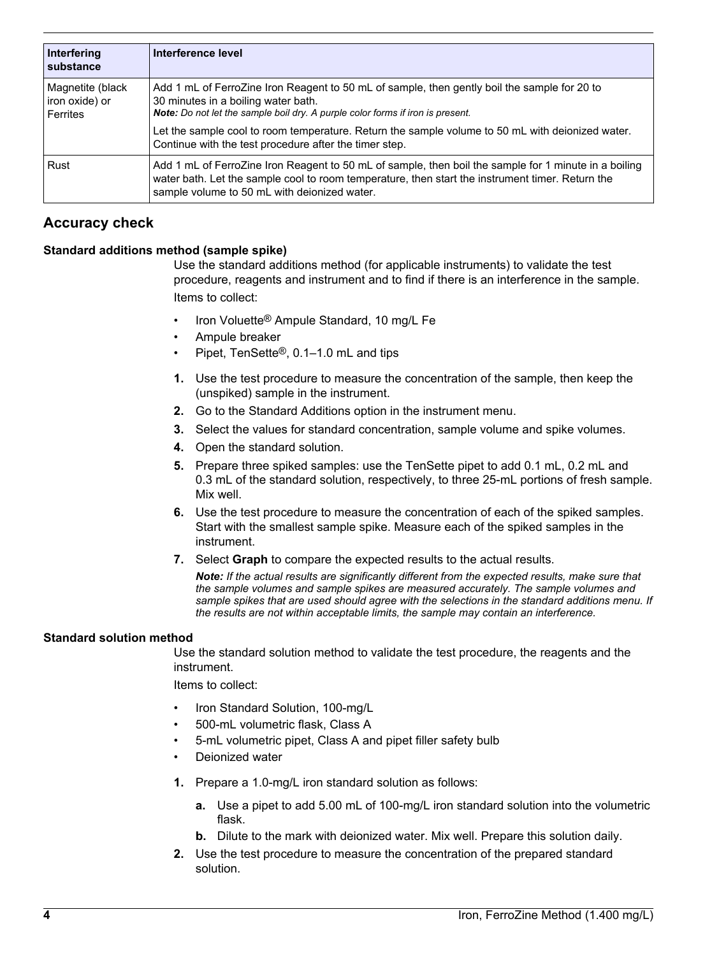| Interfering<br>substance                       | Interference level                                                                                                                                                                                                                                        |
|------------------------------------------------|-----------------------------------------------------------------------------------------------------------------------------------------------------------------------------------------------------------------------------------------------------------|
| Magnetite (black<br>iron oxide) or<br>Ferrites | Add 1 mL of FerroZine Iron Reagent to 50 mL of sample, then gently boil the sample for 20 to<br>30 minutes in a boiling water bath.<br><b>Note:</b> Do not let the sample boil dry. A purple color forms if iron is present.                              |
|                                                | Let the sample cool to room temperature. Return the sample volume to 50 mL with deionized water.<br>Continue with the test procedure after the timer step.                                                                                                |
| Rust                                           | Add 1 mL of FerroZine Iron Reagent to 50 mL of sample, then boil the sample for 1 minute in a boiling<br>water bath. Let the sample cool to room temperature, then start the instrument timer. Return the<br>sample volume to 50 mL with deionized water. |

# **Accuracy check**

#### **Standard additions method (sample spike)**

Use the standard additions method (for applicable instruments) to validate the test procedure, reagents and instrument and to find if there is an interference in the sample. Items to collect:

- Iron Voluette® Ampule Standard, 10 mg/L Fe
- Ampule breaker
- Pipet, TenSette®, 0.1–1.0 mL and tips
- **1.** Use the test procedure to measure the concentration of the sample, then keep the (unspiked) sample in the instrument.
- **2.** Go to the Standard Additions option in the instrument menu.
- **3.** Select the values for standard concentration, sample volume and spike volumes.
- **4.** Open the standard solution.
- **5.** Prepare three spiked samples: use the TenSette pipet to add 0.1 mL, 0.2 mL and 0.3 mL of the standard solution, respectively, to three 25-mL portions of fresh sample. Mix well.
- **6.** Use the test procedure to measure the concentration of each of the spiked samples. Start with the smallest sample spike. Measure each of the spiked samples in the instrument.
- **7.** Select **Graph** to compare the expected results to the actual results.

*Note: If the actual results are significantly different from the expected results, make sure that the sample volumes and sample spikes are measured accurately. The sample volumes and sample spikes that are used should agree with the selections in the standard additions menu. If the results are not within acceptable limits, the sample may contain an interference.*

#### **Standard solution method**

Use the standard solution method to validate the test procedure, the reagents and the instrument.

Items to collect:

- Iron Standard Solution, 100-mg/L
- 500-mL volumetric flask, Class A
- 5-mL volumetric pipet, Class A and pipet filler safety bulb
- Deionized water
- **1.** Prepare a 1.0-mg/L iron standard solution as follows:
	- **a.** Use a pipet to add 5.00 mL of 100-mg/L iron standard solution into the volumetric flask.
	- **b.** Dilute to the mark with deionized water. Mix well. Prepare this solution daily.
- **2.** Use the test procedure to measure the concentration of the prepared standard solution.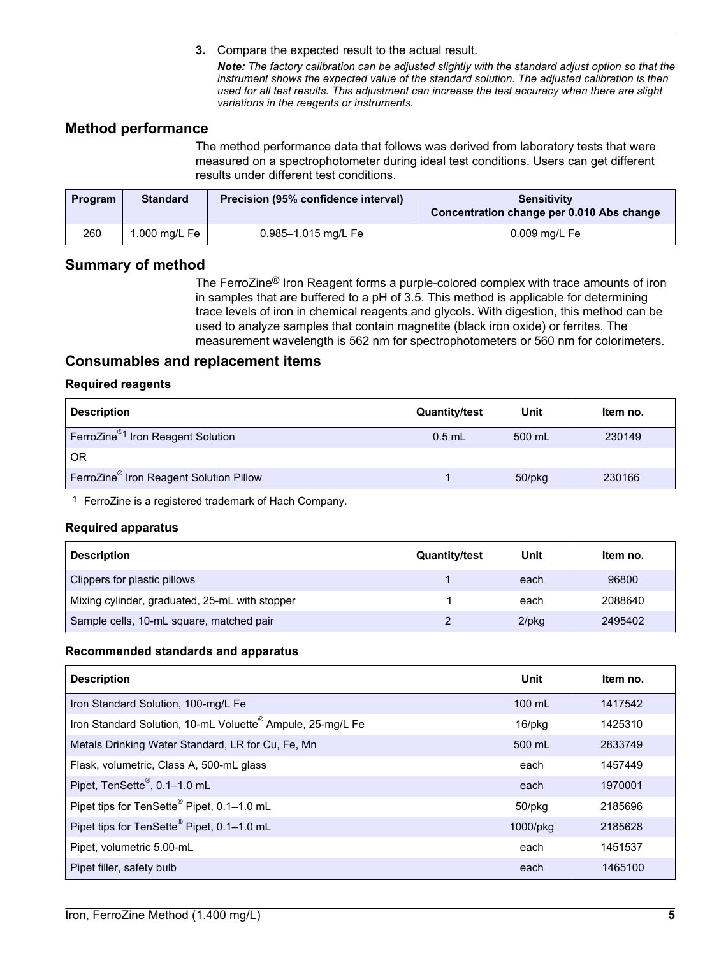**3.** Compare the expected result to the actual result.

*Note: The factory calibration can be adjusted slightly with the standard adjust option so that the instrument shows the expected value of the standard solution. The adjusted calibration is then used for all test results. This adjustment can increase the test accuracy when there are slight variations in the reagents or instruments.*

# **Method performance**

The method performance data that follows was derived from laboratory tests that were measured on a spectrophotometer during ideal test conditions. Users can get different results under different test conditions.

<span id="page-4-0"></span>

| <b>Program</b> | <b>Standard</b>           | Precision (95% confidence interval) | <b>Sensitivity</b><br>Concentration change per 0.010 Abs change |
|----------------|---------------------------|-------------------------------------|-----------------------------------------------------------------|
| 260            | 1.000 mg/L Fe $\parallel$ | 0.985-1.015 mg/L Fe                 | $0.009$ mg/L Fe                                                 |

## **Summary of method**

The FerroZine® Iron Reagent forms a purple-colored complex with trace amounts of iron in samples that are buffered to a pH of 3.5. This method is applicable for determining trace levels of iron in chemical reagents and glycols. With digestion, this method can be used to analyze samples that contain magnetite (black iron oxide) or ferrites. The measurement wavelength is 562 nm for spectrophotometers or 560 nm for colorimeters.

## **Consumables and replacement items**

#### **Required reagents**

| <b>Description</b>                                  | <b>Quantity/test</b> | Unit   | Item no. |
|-----------------------------------------------------|----------------------|--------|----------|
| FerroZine <sup>®1</sup> Iron Reagent Solution       | $0.5$ mL             | 500 mL | 230149   |
| <b>OR</b>                                           |                      |        |          |
| FerroZine <sup>®</sup> Iron Reagent Solution Pillow |                      | 50/pkg | 230166   |

<sup>1</sup> FerroZine is a registered trademark of Hach Company.

#### **Required apparatus**

| <b>Description</b>                             | <b>Quantity/test</b> | Unit     | Item no. |
|------------------------------------------------|----------------------|----------|----------|
| Clippers for plastic pillows                   |                      | each     | 96800    |
| Mixing cylinder, graduated, 25-mL with stopper |                      | each     | 2088640  |
| Sample cells, 10-mL square, matched pair       |                      | $2$ /pkg | 2495402  |

#### **Recommended standards and apparatus**

| <b>Description</b>                                                     | Unit             | Item no. |
|------------------------------------------------------------------------|------------------|----------|
| Iron Standard Solution, 100-mg/L Fe                                    | $100 \text{ ml}$ | 1417542  |
| Iron Standard Solution, 10-mL Voluette <sup>®</sup> Ampule, 25-mg/L Fe | $16$ /pkg        | 1425310  |
| Metals Drinking Water Standard, LR for Cu, Fe, Mn                      | 500 mL           | 2833749  |
| Flask, volumetric, Class A, 500-mL glass                               | each             | 1457449  |
| Pipet, TenSette <sup>®</sup> , 0.1-1.0 mL                              | each             | 1970001  |
| Pipet tips for TenSette® Pipet, 0.1-1.0 mL                             | $50$ /p $kg$     | 2185696  |
| Pipet tips for TenSette <sup>®</sup> Pipet, 0.1-1.0 mL                 | 1000/pkg         | 2185628  |
| Pipet, volumetric 5.00-mL                                              | each             | 1451537  |
| Pipet filler, safety bulb                                              | each             | 1465100  |